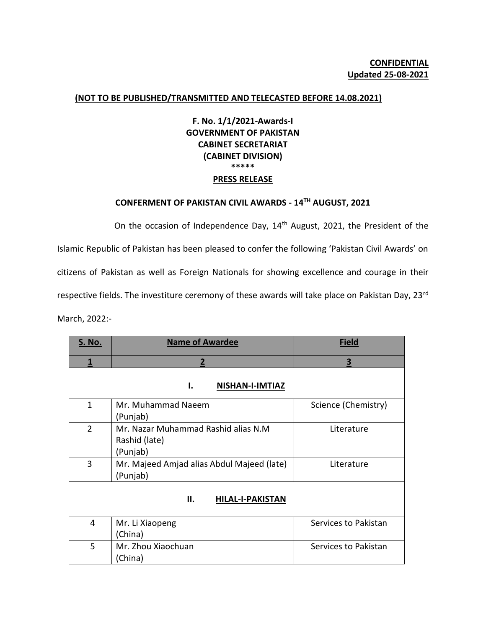## **(NOT TO BE PUBLISHED/TRANSMITTED AND TELECASTED BEFORE 14.08.2021)**

## **F. No. 1/1/2021-Awards-I GOVERNMENT OF PAKISTAN CABINET SECRETARIAT (CABINET DIVISION) \*\*\*\*\* PRESS RELEASE**

## **CONFERMENT OF PAKISTAN CIVIL AWARDS - 14TH AUGUST, 2021**

On the occasion of Independence Day, 14<sup>th</sup> August, 2021, the President of the Islamic Republic of Pakistan has been pleased to confer the following 'Pakistan Civil Awards' on citizens of Pakistan as well as Foreign Nationals for showing excellence and courage in their respective fields. The investiture ceremony of these awards will take place on Pakistan Day, 23rd March, 2022:-

| <b>S. No.</b>                 | <b>Name of Awardee</b>                                           | <b>Field</b>         |
|-------------------------------|------------------------------------------------------------------|----------------------|
| 1                             | $\overline{2}$                                                   | 3                    |
| ı.<br><b>NISHAN-I-IMTIAZ</b>  |                                                                  |                      |
| $\mathbf{1}$                  | Mr. Muhammad Naeem<br>(Punjab)                                   | Science (Chemistry)  |
| $\overline{2}$                | Mr. Nazar Muhammad Rashid alias N.M<br>Rashid (late)<br>(Punjab) | Literature           |
| 3                             | Mr. Majeed Amjad alias Abdul Majeed (late)<br>(Punjab)           | Literature           |
| П.<br><b>HILAL-I-PAKISTAN</b> |                                                                  |                      |
| 4                             | Mr. Li Xiaopeng<br>(China)                                       | Services to Pakistan |
| 5                             | Mr. Zhou Xiaochuan<br>(China)                                    | Services to Pakistan |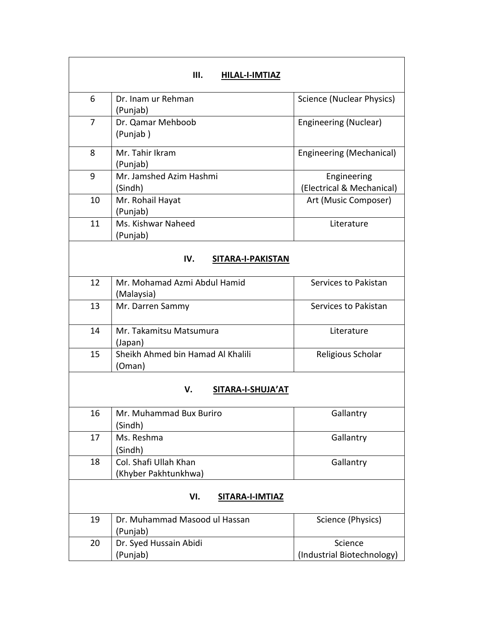| III.<br>HILAL-I-IMTIAZ   |                                               |                                          |
|--------------------------|-----------------------------------------------|------------------------------------------|
| 6                        | Dr. Inam ur Rehman<br>(Punjab)                | Science (Nuclear Physics)                |
| 7                        | Dr. Qamar Mehboob<br>(Punjab)                 | Engineering (Nuclear)                    |
| 8                        | Mr. Tahir Ikram<br>(Punjab)                   | Engineering (Mechanical)                 |
| 9                        | Mr. Jamshed Azim Hashmi<br>(Sindh)            | Engineering<br>(Electrical & Mechanical) |
| 10                       | Mr. Rohail Hayat<br>(Punjab)                  | Art (Music Composer)                     |
| 11                       | Ms. Kishwar Naheed<br>(Punjab)                | Literature                               |
| IV.<br>SITARA-I-PAKISTAN |                                               |                                          |
| 12                       | Mr. Mohamad Azmi Abdul Hamid<br>(Malaysia)    | Services to Pakistan                     |
| 13                       | Mr. Darren Sammy                              | Services to Pakistan                     |
| 14                       | Mr. Takamitsu Matsumura<br>(Japan)            | Literature                               |
| 15                       | Sheikh Ahmed bin Hamad Al Khalili<br>(Oman)   | Religious Scholar                        |
| V.<br>SITARA-I-SHUJA'AT  |                                               |                                          |
| 16                       | Mr. Muhammad Bux Buriro<br>(Sindh)            | Gallantry                                |
| 17                       | Ms. Reshma<br>(Sindh)                         | Gallantry                                |
| 18                       | Col. Shafi Ullah Khan<br>(Khyber Pakhtunkhwa) | Gallantry                                |
| VI.<br>SITARA-I-IMTIAZ   |                                               |                                          |
| 19                       | Dr. Muhammad Masood ul Hassan<br>(Punjab)     | Science (Physics)                        |
| 20                       | Dr. Syed Hussain Abidi<br>(Punjab)            | Science<br>(Industrial Biotechnology)    |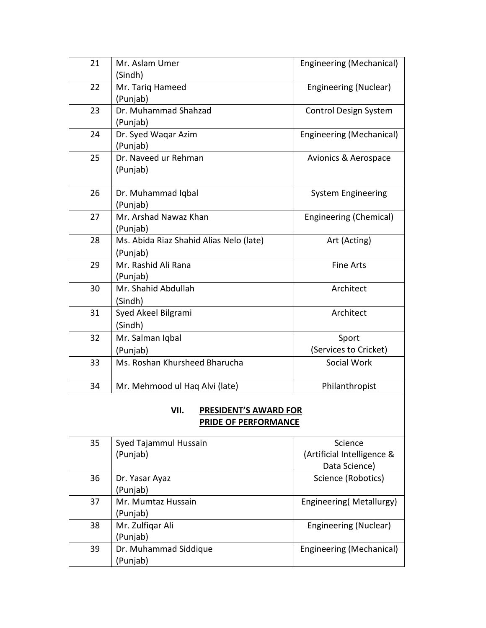| 21 | Mr. Aslam Umer<br>(Sindh)               | Engineering (Mechanical)   |
|----|-----------------------------------------|----------------------------|
| 22 | Mr. Tariq Hameed                        | Engineering (Nuclear)      |
|    | (Punjab)                                |                            |
| 23 | Dr. Muhammad Shahzad                    | Control Design System      |
|    | (Punjab)                                |                            |
| 24 | Dr. Syed Waqar Azim                     | Engineering (Mechanical)   |
|    | (Punjab)                                |                            |
| 25 | Dr. Naveed ur Rehman                    | Avionics & Aerospace       |
|    | (Punjab)                                |                            |
| 26 | Dr. Muhammad Iqbal                      | <b>System Engineering</b>  |
|    | (Punjab)                                |                            |
| 27 | Mr. Arshad Nawaz Khan                   | Engineering (Chemical)     |
|    | (Punjab)                                |                            |
| 28 | Ms. Abida Riaz Shahid Alias Nelo (late) | Art (Acting)               |
|    | (Punjab)                                |                            |
| 29 | Mr. Rashid Ali Rana                     | <b>Fine Arts</b>           |
|    | (Punjab)                                |                            |
| 30 | Mr. Shahid Abdullah                     | Architect                  |
|    | (Sindh)                                 |                            |
| 31 | Syed Akeel Bilgrami                     | Architect                  |
|    | (Sindh)                                 |                            |
| 32 | Mr. Salman Iqbal                        | Sport                      |
|    | (Punjab)                                | (Services to Cricket)      |
| 33 | Ms. Roshan Khursheed Bharucha           | Social Work                |
| 34 | Mr. Mehmood ul Haq Alvi (late)          | Philanthropist             |
|    |                                         |                            |
|    | VII.<br><b>PRESIDENT'S AWARD FOR</b>    |                            |
|    | <b>PRIDE OF PERFORMANCE</b>             |                            |
| 35 | Syed Tajammul Hussain                   | Science                    |
|    | (Punjab)                                | (Artificial Intelligence & |
|    |                                         | Data Science)              |
| 36 | Dr. Yasar Ayaz                          | Science (Robotics)         |
|    | (Punjab)                                |                            |
| 37 | Mr. Mumtaz Hussain                      | Engineering (Metallurgy)   |
|    | (Punjab)                                |                            |
| 38 | Mr. Zulfiqar Ali                        | Engineering (Nuclear)      |
|    | (Punjab)                                |                            |
| 39 | Dr. Muhammad Siddique                   | Engineering (Mechanical)   |
|    | (Punjab)                                |                            |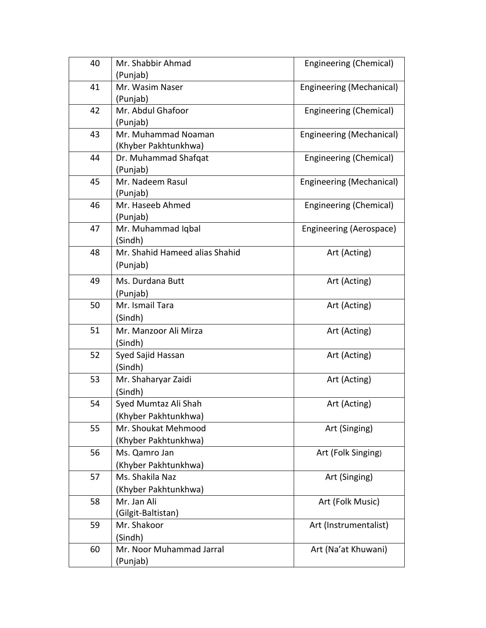| 40 | Mr. Shabbir Ahmad              | Engineering (Chemical)   |
|----|--------------------------------|--------------------------|
|    | (Punjab)                       |                          |
| 41 | Mr. Wasim Naser                | Engineering (Mechanical) |
|    | (Punjab)                       |                          |
| 42 | Mr. Abdul Ghafoor              | Engineering (Chemical)   |
|    | (Punjab)                       |                          |
| 43 | Mr. Muhammad Noaman            | Engineering (Mechanical) |
|    | (Khyber Pakhtunkhwa)           |                          |
| 44 | Dr. Muhammad Shafqat           | Engineering (Chemical)   |
|    | (Punjab)                       |                          |
| 45 | Mr. Nadeem Rasul               | Engineering (Mechanical) |
|    | (Punjab)                       |                          |
| 46 | Mr. Haseeb Ahmed               | Engineering (Chemical)   |
|    | (Punjab)                       |                          |
| 47 | Mr. Muhammad Iqbal             | Engineering (Aerospace)  |
|    | (Sindh)                        |                          |
| 48 | Mr. Shahid Hameed alias Shahid | Art (Acting)             |
|    | (Punjab)                       |                          |
| 49 | Ms. Durdana Butt               | Art (Acting)             |
|    | (Punjab)                       |                          |
| 50 | Mr. Ismail Tara                | Art (Acting)             |
|    | (Sindh)                        |                          |
| 51 | Mr. Manzoor Ali Mirza          | Art (Acting)             |
|    | (Sindh)                        |                          |
| 52 | Syed Sajid Hassan              | Art (Acting)             |
|    | (Sindh)                        |                          |
| 53 | Mr. Shaharyar Zaidi            | Art (Acting)             |
|    | (Sindh)                        |                          |
| 54 | Syed Mumtaz Ali Shah           | Art (Acting)             |
|    | Khyber Pakhtunkhwa)            |                          |
| 55 | Mr. Shoukat Mehmood            | Art (Singing)            |
|    | (Khyber Pakhtunkhwa)           |                          |
| 56 | Ms. Qamro Jan                  | Art (Folk Singing)       |
|    | (Khyber Pakhtunkhwa)           |                          |
| 57 | Ms. Shakila Naz                | Art (Singing)            |
|    | (Khyber Pakhtunkhwa)           |                          |
| 58 | Mr. Jan Ali                    | Art (Folk Music)         |
|    | (Gilgit-Baltistan)             |                          |
| 59 | Mr. Shakoor                    | Art (Instrumentalist)    |
|    | (Sindh)                        |                          |
| 60 | Mr. Noor Muhammad Jarral       | Art (Na'at Khuwani)      |
|    | (Punjab)                       |                          |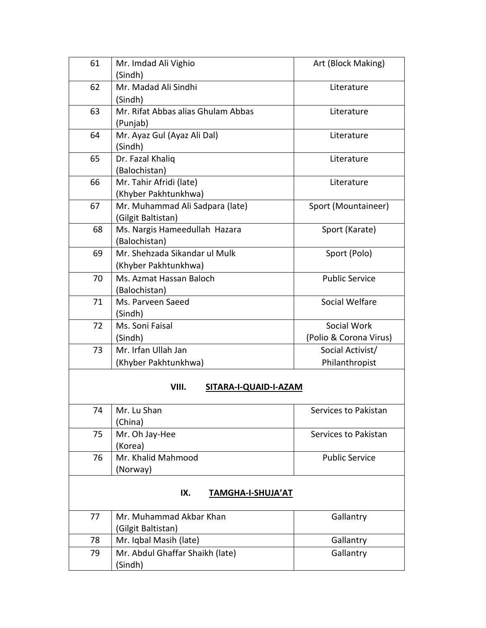| 61 | Mr. Imdad Ali Vighio                                  | Art (Block Making)     |  |  |
|----|-------------------------------------------------------|------------------------|--|--|
|    | (Sindh)                                               |                        |  |  |
| 62 | Mr. Madad Ali Sindhi                                  | Literature             |  |  |
|    | (Sindh)                                               |                        |  |  |
| 63 | Mr. Rifat Abbas alias Ghulam Abbas                    | Literature             |  |  |
|    | (Punjab)                                              |                        |  |  |
| 64 | Mr. Ayaz Gul (Ayaz Ali Dal)                           | Literature             |  |  |
|    | (Sindh)                                               |                        |  |  |
| 65 | Dr. Fazal Khaliq                                      | Literature             |  |  |
|    | (Balochistan)                                         |                        |  |  |
| 66 | Mr. Tahir Afridi (late)                               | Literature             |  |  |
| 67 | (Khyber Pakhtunkhwa)                                  |                        |  |  |
|    | Mr. Muhammad Ali Sadpara (late)<br>(Gilgit Baltistan) | Sport (Mountaineer)    |  |  |
| 68 | Ms. Nargis Hameedullah Hazara                         | Sport (Karate)         |  |  |
|    | (Balochistan)                                         |                        |  |  |
| 69 | Mr. Shehzada Sikandar ul Mulk                         | Sport (Polo)           |  |  |
|    | (Khyber Pakhtunkhwa)                                  |                        |  |  |
| 70 | Ms. Azmat Hassan Baloch                               | <b>Public Service</b>  |  |  |
|    | (Balochistan)                                         |                        |  |  |
| 71 | Ms. Parveen Saeed                                     | Social Welfare         |  |  |
|    | (Sindh)                                               |                        |  |  |
| 72 | Ms. Soni Faisal                                       | Social Work            |  |  |
|    | (Sindh)                                               | (Polio & Corona Virus) |  |  |
| 73 | Mr. Irfan Ullah Jan                                   | Social Activist/       |  |  |
|    | (Khyber Pakhtunkhwa)                                  | Philanthropist         |  |  |
|    | VIII.<br>SITARA-I-QUAID-I-AZAM                        |                        |  |  |
|    |                                                       |                        |  |  |
| 74 | Mr. Lu Shan                                           | Services to Pakistan   |  |  |
|    | (China)                                               |                        |  |  |
| 75 | Mr. Oh Jay-Hee                                        | Services to Pakistan   |  |  |
|    | (Korea)                                               |                        |  |  |
| 76 | Mr. Khalid Mahmood                                    | <b>Public Service</b>  |  |  |
|    | (Norway)                                              |                        |  |  |
|    | IX.<br>TAMGHA-I-SHUJA'AT                              |                        |  |  |
|    |                                                       |                        |  |  |
| 77 | Mr. Muhammad Akbar Khan                               | Gallantry              |  |  |
|    | (Gilgit Baltistan)                                    |                        |  |  |
| 78 | Mr. Iqbal Masih (late)                                | Gallantry              |  |  |
| 79 | Mr. Abdul Ghaffar Shaikh (late)                       | Gallantry              |  |  |
|    | (Sindh)                                               |                        |  |  |
|    |                                                       |                        |  |  |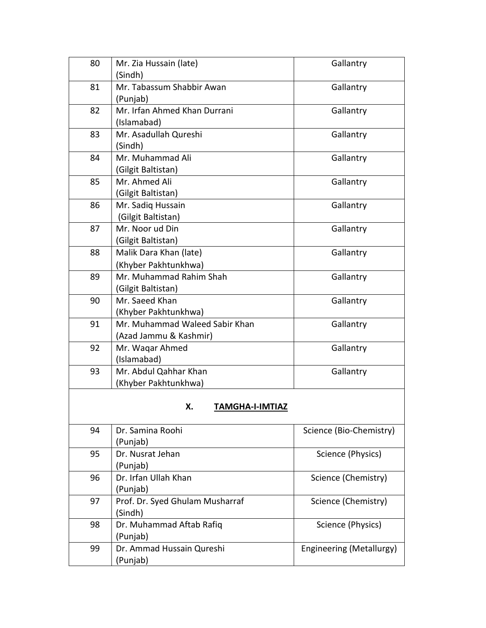| 80 | Mr. Zia Hussain (late)          | Gallantry                |
|----|---------------------------------|--------------------------|
|    | (Sindh)                         |                          |
| 81 | Mr. Tabassum Shabbir Awan       | Gallantry                |
|    | (Punjab)                        |                          |
| 82 | Mr. Irfan Ahmed Khan Durrani    | Gallantry                |
|    | (Islamabad)                     |                          |
| 83 | Mr. Asadullah Qureshi           | Gallantry                |
|    | (Sindh)                         |                          |
| 84 | Mr. Muhammad Ali                | Gallantry                |
|    | (Gilgit Baltistan)              |                          |
| 85 | Mr. Ahmed Ali                   | Gallantry                |
|    | (Gilgit Baltistan)              |                          |
| 86 | Mr. Sadig Hussain               | Gallantry                |
|    | (Gilgit Baltistan)              |                          |
| 87 | Mr. Noor ud Din                 | Gallantry                |
|    | (Gilgit Baltistan)              |                          |
| 88 | Malik Dara Khan (late)          | Gallantry                |
|    | (Khyber Pakhtunkhwa)            |                          |
| 89 | Mr. Muhammad Rahim Shah         | Gallantry                |
|    | (Gilgit Baltistan)              |                          |
| 90 | Mr. Saeed Khan                  | Gallantry                |
|    | (Khyber Pakhtunkhwa)            |                          |
| 91 | Mr. Muhammad Waleed Sabir Khan  | Gallantry                |
|    | (Azad Jammu & Kashmir)          |                          |
| 92 | Mr. Waqar Ahmed                 | Gallantry                |
|    | (Islamabad)                     |                          |
| 93 | Mr. Abdul Qahhar Khan           | Gallantry                |
|    | (Khyber Pakhtunkhwa)            |                          |
|    |                                 |                          |
|    | х.<br>TAMGHA-I-IMTIAZ           |                          |
| 94 | Dr. Samina Roohi                | Science (Bio-Chemistry)  |
|    | (Punjab)                        |                          |
| 95 | Dr. Nusrat Jehan                | Science (Physics)        |
|    | (Punjab)                        |                          |
| 96 | Dr. Irfan Ullah Khan            | Science (Chemistry)      |
|    | (Punjab)                        |                          |
| 97 | Prof. Dr. Syed Ghulam Musharraf | Science (Chemistry)      |
|    | (Sindh)                         |                          |
| 98 | Dr. Muhammad Aftab Rafiq        | Science (Physics)        |
|    | (Punjab)                        |                          |
| 99 | Dr. Ammad Hussain Qureshi       | Engineering (Metallurgy) |
|    | (Punjab)                        |                          |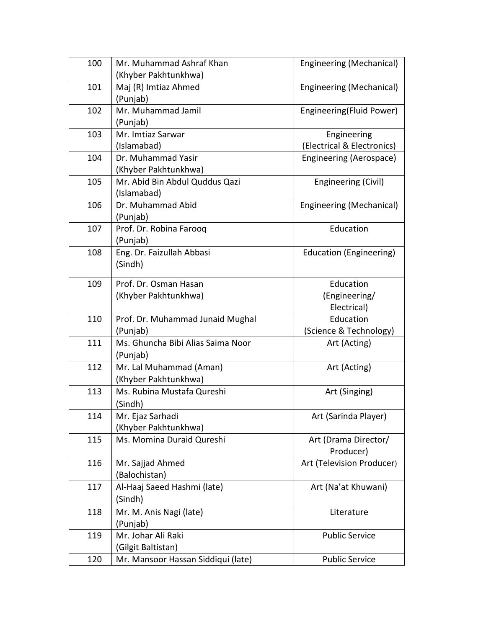| 100 | Mr. Muhammad Ashraf Khan                      | Engineering (Mechanical)       |
|-----|-----------------------------------------------|--------------------------------|
|     | (Khyber Pakhtunkhwa)                          |                                |
| 101 | Maj (R) Imtiaz Ahmed                          | Engineering (Mechanical)       |
|     | (Punjab)                                      |                                |
| 102 | Mr. Muhammad Jamil                            | Engineering(Fluid Power)       |
|     | (Punjab)                                      |                                |
| 103 | Mr. Imtiaz Sarwar                             | Engineering                    |
|     | (Islamabad)                                   | (Electrical & Electronics)     |
| 104 | Dr. Muhammad Yasir                            | Engineering (Aerospace)        |
|     | (Khyber Pakhtunkhwa)                          |                                |
| 105 | Mr. Abid Bin Abdul Quddus Qazi                | Engineering (Civil)            |
|     | (Islamabad)                                   |                                |
| 106 | Dr. Muhammad Abid                             | Engineering (Mechanical)       |
|     | (Punjab)                                      |                                |
| 107 | Prof. Dr. Robina Farooq                       | Education                      |
|     | (Punjab)                                      |                                |
| 108 | Eng. Dr. Faizullah Abbasi                     | <b>Education (Engineering)</b> |
|     | (Sindh)                                       |                                |
|     |                                               |                                |
| 109 | Prof. Dr. Osman Hasan                         | Education                      |
|     | (Khyber Pakhtunkhwa)                          | (Engineering/<br>Electrical)   |
| 110 |                                               | Education                      |
|     | Prof. Dr. Muhammad Junaid Mughal              |                                |
| 111 | (Punjab)<br>Ms. Ghuncha Bibi Alias Saima Noor | (Science & Technology)         |
|     |                                               | Art (Acting)                   |
| 112 | (Punjab)                                      |                                |
|     | Mr. Lal Muhammad (Aman)                       | Art (Acting)                   |
|     | (Khyber Pakhtunkhwa)                          |                                |
| 113 | Ms. Rubina Mustafa Qureshi                    | Art (Singing)                  |
|     | (Sindh)                                       |                                |
| 114 | Mr. Ejaz Sarhadi                              | Art (Sarinda Player)           |
|     | (Khyber Pakhtunkhwa)                          |                                |
| 115 | Ms. Momina Duraid Qureshi                     | Art (Drama Director/           |
|     |                                               | Producer)                      |
| 116 | Mr. Sajjad Ahmed                              | Art (Television Producer)      |
|     | (Balochistan)                                 |                                |
| 117 | Al-Haaj Saeed Hashmi (late)                   | Art (Na'at Khuwani)            |
|     | (Sindh)                                       |                                |
| 118 | Mr. M. Anis Nagi (late)                       | Literature                     |
|     | (Punjab)                                      |                                |
| 119 | Mr. Johar Ali Raki                            | <b>Public Service</b>          |
|     | (Gilgit Baltistan)                            |                                |
| 120 | Mr. Mansoor Hassan Siddiqui (late)            | <b>Public Service</b>          |